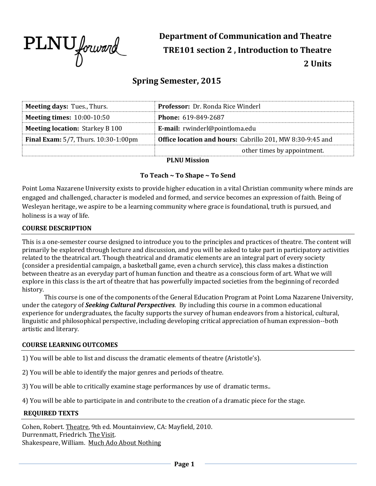

**Department of Communication and Theatre TRE101 section 2 , Introduction to Theatre 2 Units**

# **Spring Semester, 2015**

| <b>Meeting days: Tues., Thurs.</b>          | Professor: Dr. Ronda Rice Winderl                                |  |  |
|---------------------------------------------|------------------------------------------------------------------|--|--|
| <b>Meeting times: 10:00-10:50</b>           | Phone: 619-849-2687                                              |  |  |
| <b>Meeting location: Starkey B 100</b>      | E-mail: rwinderl@pointloma.edu                                   |  |  |
| <b>Final Exam:</b> 5/7, Thurs. 10:30-1:00pm | <b>Office location and hours:</b> Cabrillo 201, MW 8:30-9:45 and |  |  |
|                                             | other times by appointment.                                      |  |  |
| <b>PLNII Mission</b>                        |                                                                  |  |  |

# **To Teach ~ To Shape ~ To Send**

Point Loma Nazarene University exists to provide higher education in a vital Christian community where minds are engaged and challenged, character is modeled and formed, and service becomes an expression of faith. Being of Wesleyan heritage, we aspire to be a learning community where grace is foundational, truth is pursued, and holiness is a way of life.

#### **COURSE DESCRIPTION**

This is a one-semester course designed to introduce you to the principles and practices of theatre. The content will primarily be explored through lecture and discussion, and you will be asked to take part in participatory activities related to the theatrical art. Though theatrical and dramatic elements are an integral part of every society (consider a presidential campaign, a basketball game, even a church service), this class makes a distinction between theatre as an everyday part of human function and theatre as a conscious form of art. What we will explore in this class is the art of theatre that has powerfully impacted societies from the beginning of recorded history.

This course is one of the components of the General Education Program at Point Loma Nazarene University, under the category of *Seeking Cultural Perspectives*. By including this course in a common educational experience for undergraduates, the faculty supports the survey of human endeavors from a historical, cultural, linguistic and philosophical perspective, including developing critical appreciation of human expression--both artistic and literary.

# **COURSE LEARNING OUTCOMES**

1) You will be able to list and discuss the dramatic elements of theatre (Aristotle's).

2) You will be able to identify the major genres and periods of theatre.

3) You will be able to critically examine stage performances by use of dramatic terms..

4) You will be able to participate in and contribute to the creation of a dramatic piece for the stage.

#### **REQUIRED TEXTS**

Cohen, Robert. Theatre, 9th ed. Mountainview, CA: Mayfield, 2010. Durrenmatt, Friedrich. The Visit. Shakespeare, William. Much Ado About Nothing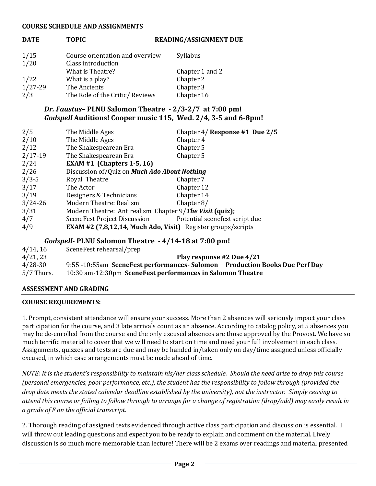#### **COURSE SCHEDULE AND ASSIGNMENTS**

| <b>DATE</b>  | <b>TOPIC</b>                                            | <b>READING/ASSIGNMENT DUE</b>                                       |
|--------------|---------------------------------------------------------|---------------------------------------------------------------------|
| 1/15<br>1/20 | Course orientation and overview<br>Class introduction   | Syllabus                                                            |
|              | What is Theatre?                                        | Chapter 1 and 2                                                     |
| 1/22         | What is a play?                                         | Chapter 2                                                           |
| 1/27-29      | The Ancients                                            | Chapter 3                                                           |
| 2/3          | The Role of the Critic/ Reviews                         | Chapter 16                                                          |
|              | Dr. Faustus-PLNU Salomon Theatre - 2/3-2/7 at 7:00 pm!  |                                                                     |
|              |                                                         | Godspell Auditions! Cooper music 115, Wed. 2/4, 3-5 and 6-8pm!      |
| 2/5          | The Middle Ages                                         | Chapter 4/ Response #1 Due 2/5                                      |
| 2/10         | The Middle Ages                                         | Chapter 4                                                           |
| 2/12         | The Shakespearean Era                                   | Chapter 5                                                           |
| $2/17-19$    | The Shakespearean Era                                   | Chapter 5                                                           |
| 2/24         | EXAM #1 (Chapters 1-5, 16)                              |                                                                     |
| 2/26         | Discussion of/Quiz on Much Ado About Nothing            |                                                                     |
| $3/3-5$      | Royal Theatre                                           | Chapter 7                                                           |
| 3/17         | The Actor                                               | Chapter 12                                                          |
| 3/19         | Designers & Technicians                                 | Chapter 14                                                          |
| $3/24 - 26$  | Modern Theatre: Realism                                 | Chapter $8/$                                                        |
| 3/31         | Modern Theatre: Antirealism Chapter 9/The Visit (quiz); |                                                                     |
| 4/7          | SceneFest Project Discussion                            | Potential scenefest script due                                      |
| 4/9          |                                                         | <b>EXAM #2 (7,8,12,14, Much Ado, Visit)</b> Register groups/scripts |

# *Godspell-* **PLNU Salomon Theatre - 4/14-18 at 7:00 pm!**

| 4/14, 16     | SceneFest rehearsal/prep                                                   |  |
|--------------|----------------------------------------------------------------------------|--|
| 4/21, 23     | Play response #2 Due 4/21                                                  |  |
| 4/28-30      | 9:55 -10:55am SceneFest performances-Salomon Production Books Due Perf Day |  |
| $5/7$ Thurs. | 10:30 am-12:30pm SceneFest performances in Salomon Theatre                 |  |

# **ASSESSMENT AND GRADING**

#### **COURSE REQUIREMENTS:**

1. Prompt, consistent attendance will ensure your success. More than 2 absences will seriously impact your class participation for the course, and 3 late arrivals count as an absence. According to catalog policy, at 5 absences you may be de-enrolled from the course and the only excused absences are those approved by the Provost. We have so much terrific material to cover that we will need to start on time and need your full involvement in each class. Assignments, quizzes and tests are due and may be handed in/taken only on day/time assigned unless officially excused, in which case arrangements must be made ahead of time.

*NOTE: It is the student's responsibility to maintain his/her class schedule. Should the need arise to drop this course (personal emergencies, poor performance, etc.), the student has the responsibility to follow through (provided the drop date meets the stated calendar deadline established by the university), not the instructor. Simply ceasing to attend this course or failing to follow through to arrange for a change of registration (drop/add) may easily result in a grade of F on the official transcript.*

2. Thorough reading of assigned texts evidenced through active class participation and discussion is essential. I will throw out leading questions and expect you to be ready to explain and comment on the material. Lively discussion is so much more memorable than lecture! There will be 2 exams over readings and material presented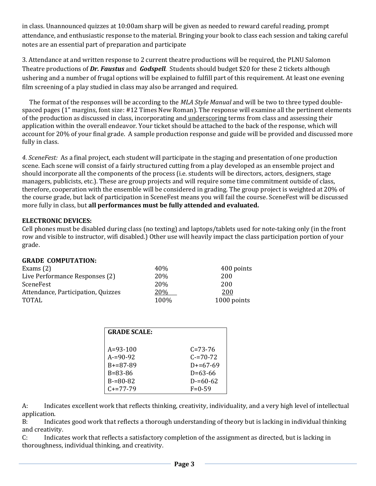in class. Unannounced quizzes at 10:00am sharp will be given as needed to reward careful reading, prompt attendance, and enthusiastic response to the material. Bringing your book to class each session and taking careful notes are an essential part of preparation and participate

3. Attendance at and written response to 2 current theatre productions will be required, the PLNU Salomon Theatre productions of *Dr. Faustus* and *Godspell.* Students should budget \$20 for these 2 tickets although ushering and a number of frugal options will be explained to fulfill part of this requirement. At least one evening film screening of a play studied in class may also be arranged and required.

 The format of the responses will be according to the *MLA Style Manual* and will be two to three typed doublespaced pages (1" margins, font size: #12 Times New Roman). The response will examine all the pertinent elements of the production as discussed in class, incorporating and underscoring terms from class and assessing their application within the overall endeavor. Your ticket should be attached to the back of the response, which will account for 20% of your final grade. A sample production response and guide will be provided and discussed more fully in class.

*4. SceneFest:* As a final project, each student will participate in the staging and presentation of one production scene. Each scene will consist of a fairly structured cutting from a play developed as an ensemble project and should incorporate all the components of the process (i.e. students will be directors, actors, designers, stage managers, publicists, etc.). These are group projects and will require some time commitment outside of class, therefore, cooperation with the ensemble will be considered in grading. The group project is weighted at 20% of the course grade, but lack of participation in SceneFest means you will fail the course. SceneFest will be discussed more fully in class, but **all performances must be fully attended and evaluated.** 

# **ELECTRONIC DEVICES:**

Cell phones must be disabled during class (no texting) and laptops/tablets used for note-taking only (in the front row and visible to instructor, wifi disabled.) Other use will heavily impact the class participation portion of your grade.

# **GRADE COMPUTATION:**

| Exams $(2)$                        | 40%        | 400 points  |
|------------------------------------|------------|-------------|
| Live Performance Responses (2)     | 20\%       | 200         |
| SceneFest                          | <b>20%</b> | 200         |
| Attendance, Participation, Quizzes | 20%        | 200         |
| <b>TOTAL</b>                       | 100\%      | 1000 points |

| <b>GRADE SCALE:</b> |               |
|---------------------|---------------|
| $A = 93 - 100$      | $C = 73 - 76$ |
| $A = 90 - 92$       | $C = 70 - 72$ |
| $B = 87 - 89$       | $D+=67-69$    |
| $B = 83 - 86$       | $D=63-66$     |
| $B = 80 - 82$       | $D = 60 - 62$ |
| $C_{+}=77-79$       | $F = 0.59$    |

A: Indicates excellent work that reflects thinking, creativity, individuality, and a very high level of intellectual application.

B: Indicates good work that reflects a thorough understanding of theory but is lacking in individual thinking and creativity.

C: Indicates work that reflects a satisfactory completion of the assignment as directed, but is lacking in thoroughness, individual thinking, and creativity.